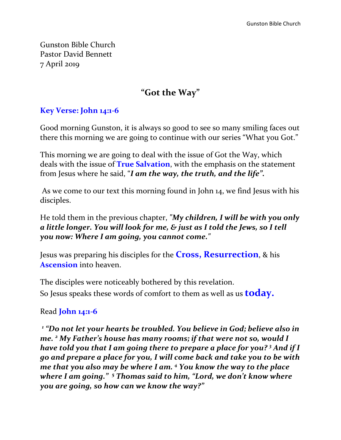Gunston Bible Church Pastor David Bennett 7 April 2019

# **"Got the Way"**

## **Key Verse: John 14:1-6**

Good morning Gunston, it is always so good to see so many smiling faces out there this morning we are going to continue with our series "What you Got."

This morning we are going to deal with the issue of Got the Way, which deals with the issue of **True Salvation**, with the emphasis on the statement from Jesus where he said, "*I am the way, the truth, and the life".* 

As we come to our text this morning found in John 14, we find Jesus with his disciples.

He told them in the previous chapter, *"My children, I will be with you only a little longer. You will look for me, & just as I told the Jews, so I tell you now: Where I am going, you cannot come."* 

Jesus was preparing his disciples for the **Cross, Resurrection**, & his **Ascension** into heaven.

The disciples were noticeably bothered by this revelation. So Jesus speaks these words of comfort to them as well as us **today.**

### Read **John 14:1-6**

*1 "Do not let your hearts be troubled. You believe in God; believe also in me. <sup>2</sup> My Father's house has many rooms; if that were not so, would I have told you that I am going there to prepare a place for you? <sup>3</sup> And if I go and prepare a place for you, I will come back and take you to be with me that you also may be where I am. <sup>4</sup> You know the way to the place where I am going." <sup>5</sup> Thomas said to him, "Lord, we don't know where you are going, so how can we know the way?"*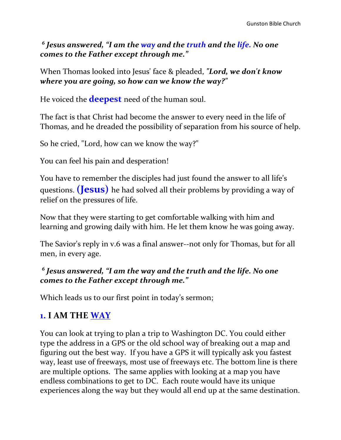*6 Jesus answered, "I am the way and the truth and the life. No one comes to the Father except through me."*

When Thomas looked into Jesus' face & pleaded, *"Lord, we don't know where you are going, so how can we know the way?"*

He voiced the **deepest** need of the human soul.

The fact is that Christ had become the answer to every need in the life of Thomas, and he dreaded the possibility of separation from his source of help.

So he cried, "Lord, how can we know the way?"

You can feel his pain and desperation!

You have to remember the disciples had just found the answer to all life's questions. **(Jesus)** he had solved all their problems by providing a way of relief on the pressures of life.

Now that they were starting to get comfortable walking with him and learning and growing daily with him. He let them know he was going away.

The Savior's reply in v.6 was a final answer--not only for Thomas, but for all men, in every age.

### *6 Jesus answered, "I am the way and the truth and the life. No one comes to the Father except through me."*

Which leads us to our first point in today's sermon;

# **1. I AM THE WAY**

You can look at trying to plan a trip to Washington DC. You could either type the address in a GPS or the old school way of breaking out a map and figuring out the best way. If you have a GPS it will typically ask you fastest way, least use of freeways, most use of freeways etc. The bottom line is there are multiple options. The same applies with looking at a map you have endless combinations to get to DC. Each route would have its unique experiences along the way but they would all end up at the same destination.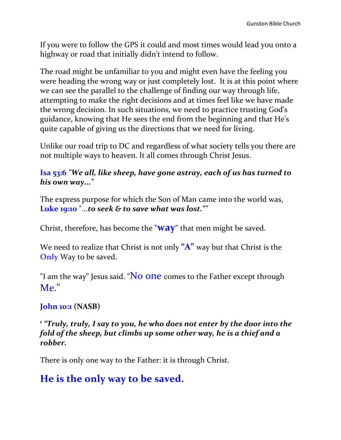If you were to follow the GPS it could and most times would lead you onto a highway or road that initially didn't intend to follow.

The road might be unfamiliar to you and might even have the feeling you were heading the wrong way or just completely lost. It is at this point where we can see the parallel to the challenge of finding our way through life, attempting to make the right decisions and at times feel like we have made the wrong decision. In such situations, we need to practice trusting God's guidance, knowing that He sees the end from the beginning and that He's quite capable of giving us the directions that we need for living.

Unlike our road trip to DC and regardless of what society tells you there are not multiple ways to heaven. It all comes through Christ Jesus.

#### **Isa 53:6** *"We all, like sheep, have gone astray, each of us has turned to his own way..."*

The express purpose for which the Son of Man came into the world was, **Luke 19:10** "...*to seek & to save what was lost.""*

Christ, therefore, has become the "**way**" that men might be saved.

We need to realize that Christ is not only **"A"** way but that Christ is the **Only** Way to be saved.

"I am the way" Jesus said. "No one comes to the Father except through Me."

## **John 10:1 (NASB)**

*1 "Truly, truly, I say to you, he who does not enter by the door into the fold of the sheep, but climbs up some other way, he is a thief and a robber.*

There is only one way to the Father: it is through Christ.

# **He is the only way to be saved.**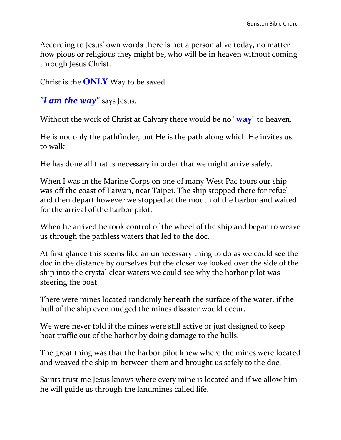According to Jesus' own words there is not a person alive today, no matter how pious or religious they might be, who will be in heaven without coming through Jesus Christ.

Christ is the **ONLY** Way to be saved.

*"I am the way"* says Jesus.

Without the work of Christ at Calvary there would be no "**way**" to heaven.

He is not only the pathfinder, but He is the path along which He invites us to walk

He has done all that is necessary in order that we might arrive safely.

When I was in the Marine Corps on one of many West Pac tours our ship was off the coast of Taiwan, near Taipei. The ship stopped there for refuel and then depart however we stopped at the mouth of the harbor and waited for the arrival of the harbor pilot.

When he arrived he took control of the wheel of the ship and began to weave us through the pathless waters that led to the doc.

At first glance this seems like an unnecessary thing to do as we could see the doc in the distance by ourselves but the closer we looked over the side of the ship into the crystal clear waters we could see why the harbor pilot was steering the boat.

There were mines located randomly beneath the surface of the water, if the hull of the ship even nudged the mines disaster would occur.

We were never told if the mines were still active or just designed to keep boat traffic out of the harbor by doing damage to the hulls.

The great thing was that the harbor pilot knew where the mines were located and weaved the ship in-between them and brought us safely to the doc.

Saints trust me Jesus knows where every mine is located and if we allow him he will guide us through the landmines called life.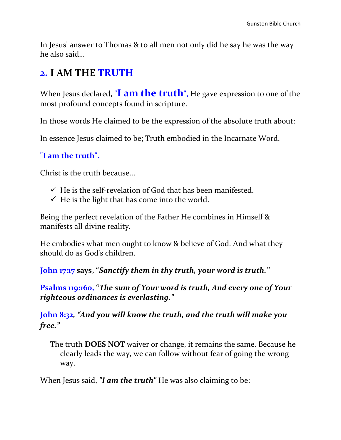In Jesus' answer to Thomas & to all men not only did he say he was the way he also said…

# **2. I AM THE TRUTH**

When Jesus declared, "**I am the truth**", He gave expression to one of the most profound concepts found in scripture.

In those words He claimed to be the expression of the absolute truth about:

In essence Jesus claimed to be; Truth embodied in the Incarnate Word.

### **"I am the truth".**

Christ is the truth because...

- $\checkmark$  He is the self-revelation of God that has been manifested.
- $\checkmark$  He is the light that has come into the world.

Being the perfect revelation of the Father He combines in Himself & manifests all divine reality.

He embodies what men ought to know & believe of God. And what they should do as God's children.

**John 17:17 says, "***Sanctify them in thy truth, your word is truth."*

**Psalms 119:160, "***The sum of Your word is truth, And every one of Your righteous ordinances is everlasting."*

**John 8:32***, "And you will know the truth, and the truth will make you free."*

The truth **DOES NOT** waiver or change, it remains the same. Because he clearly leads the way, we can follow without fear of going the wrong way.

When Jesus said, *"I am the truth"* He was also claiming to be: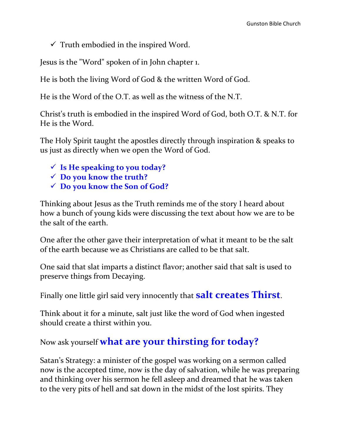$\checkmark$  Truth embodied in the inspired Word.

Jesus is the "Word" spoken of in John chapter 1.

He is both the living Word of God & the written Word of God.

He is the Word of the O.T. as well as the witness of the N.T.

Christ's truth is embodied in the inspired Word of God, both O.T. & N.T. for He is the Word.

The Holy Spirit taught the apostles directly through inspiration & speaks to us just as directly when we open the Word of God.

- **Is He speaking to you today?**
- **Do you know the truth?**
- **Do you know the Son of God?**

Thinking about Jesus as the Truth reminds me of the story I heard about how a bunch of young kids were discussing the text about how we are to be the salt of the earth.

One after the other gave their interpretation of what it meant to be the salt of the earth because we as Christians are called to be that salt.

One said that slat imparts a distinct flavor; another said that salt is used to preserve things from Decaying.

Finally one little girl said very innocently that **salt creates Thirst**.

Think about it for a minute, salt just like the word of God when ingested should create a thirst within you.

Now ask yourself **what are your thirsting for today?** 

Satan's Strategy: a minister of the gospel was working on a sermon called now is the accepted time, now is the day of salvation, while he was preparing and thinking over his sermon he fell asleep and dreamed that he was taken to the very pits of hell and sat down in the midst of the lost spirits. They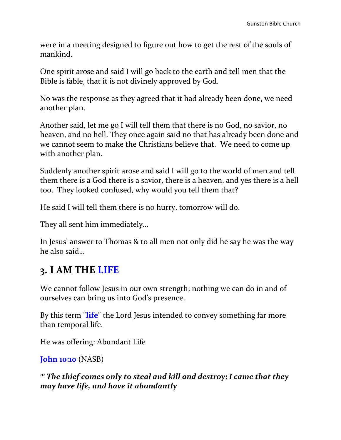were in a meeting designed to figure out how to get the rest of the souls of mankind.

One spirit arose and said I will go back to the earth and tell men that the Bible is fable, that it is not divinely approved by God.

No was the response as they agreed that it had already been done, we need another plan.

Another said, let me go I will tell them that there is no God, no savior, no heaven, and no hell. They once again said no that has already been done and we cannot seem to make the Christians believe that. We need to come up with another plan.

Suddenly another spirit arose and said I will go to the world of men and tell them there is a God there is a savior, there is a heaven, and yes there is a hell too. They looked confused, why would you tell them that?

He said I will tell them there is no hurry, tomorrow will do.

They all sent him immediately…

In Jesus' answer to Thomas & to all men not only did he say he was the way he also said…

# **3. I AM THE LIFE**

We cannot follow Jesus in our own strength; nothing we can do in and of ourselves can bring us into God's presence.

By this term "**life**" the Lord Jesus intended to convey something far more than temporal life.

He was offering: Abundant Life

**John 10:10** (NASB)

*<sup>10</sup> The thief comes only to steal and kill and destroy; I came that they may have life, and have it abundantly*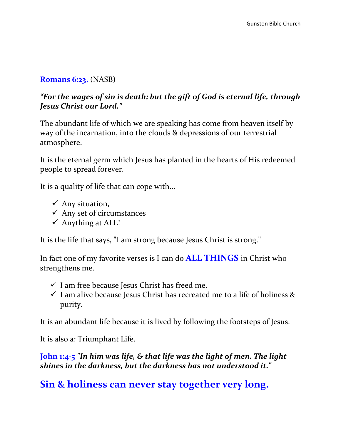#### **Romans 6:23,** (NASB)

#### *"For the wages of sin is death; but the gift of God is eternal life, through Jesus Christ our Lord."*

The abundant life of which we are speaking has come from heaven itself by way of the incarnation, into the clouds & depressions of our terrestrial atmosphere.

It is the eternal germ which Jesus has planted in the hearts of His redeemed people to spread forever.

It is a quality of life that can cope with...

- $\checkmark$  Any situation,
- $\checkmark$  Any set of circumstances
- $\checkmark$  Anything at ALL!

It is the life that says, "I am strong because Jesus Christ is strong."

In fact one of my favorite verses is I can do **ALL THINGS** in Christ who strengthens me.

- $\checkmark$  I am free because Jesus Christ has freed me.
- $\checkmark$  I am alive because Jesus Christ has recreated me to a life of holiness & purity.

It is an abundant life because it is lived by following the footsteps of Jesus.

It is also a: Triumphant Life.

**John 1:4-5** *"In him was life, & that life was the light of men. The light shines in the darkness, but the darkness has not understood it."* 

**Sin & holiness can never stay together very long.**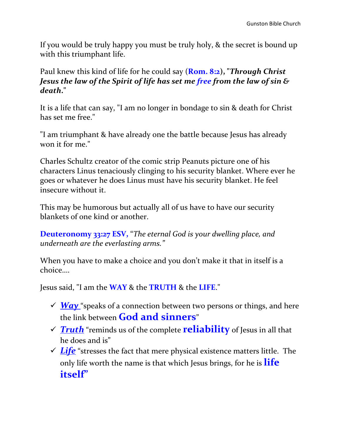If you would be truly happy you must be truly holy, & the secret is bound up with this triumphant life.

Paul knew this kind of life for he could say (**Rom. 8:2), "***Through Christ Jesus the law of the Spirit of life has set me free from the law of sin & death***."** 

It is a life that can say, "I am no longer in bondage to sin & death for Christ has set me free."

"I am triumphant & have already one the battle because Jesus has already won it for me."

Charles Schultz creator of the comic strip Peanuts picture one of his characters Linus tenaciously clinging to his security blanket. Where ever he goes or whatever he does Linus must have his security blanket. He feel insecure without it.

This may be humorous but actually all of us have to have our security blankets of one kind or another.

**Deuteronomy 33:27 ESV,** "*The eternal God is your dwelling place, and underneath are the everlasting arms."*

When you have to make a choice and you don't make it that in itself is a choice….

Jesus said, "I am the **WAY** & the **TRUTH** & the **LIFE**."

- $\sqrt{Way}$  "speaks of a connection between two persons or things, and here the link between **God and sinners**"
- *Truth* "reminds us of the complete **reliability** of Jesus in all that he does and is"
- $\checkmark$  Life<sup> $\checkmark$ </sup> stresses the fact that mere physical existence matters little. The only life worth the name is that which Jesus brings, for he is **life itself"**